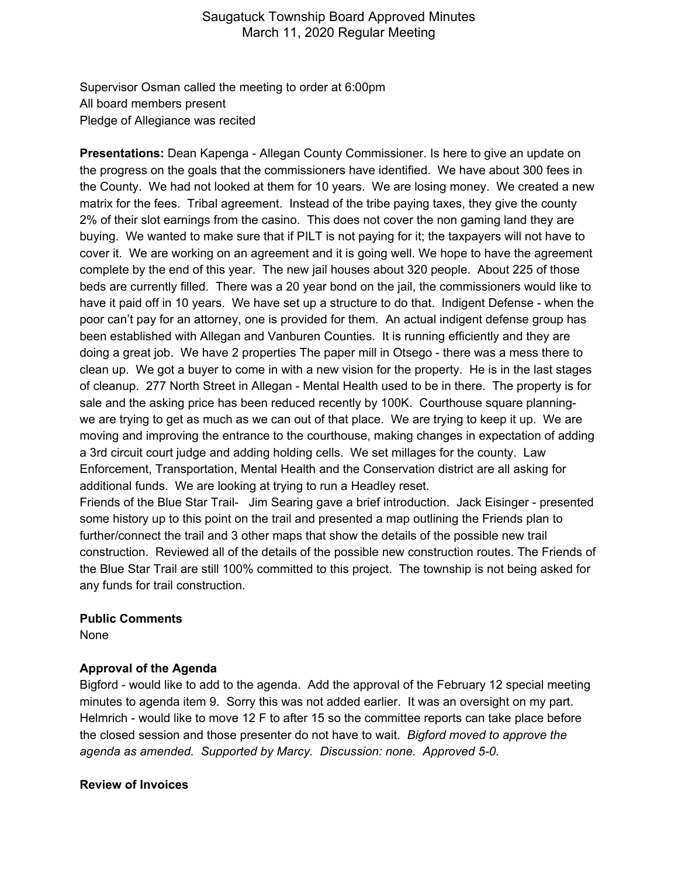Supervisor Osman called the meeting to order at 6:00pm All board members present Pledge of Allegiance was recited

**Presentations:** Dean Kapenga - Allegan County Commissioner. Is here to give an update on the progress on the goals that the commissioners have identified. We have about 300 fees in the County. We had not looked at them for 10 years. We are losing money. We created a new matrix for the fees. Tribal agreement. Instead of the tribe paying taxes, they give the county 2% of their slot earnings from the casino. This does not cover the non gaming land they are buying. We wanted to make sure that if PILT is not paying for it; the taxpayers will not have to cover it. We are working on an agreement and it is going well. We hope to have the agreement complete by the end of this year. The new jail houses about 320 people. About 225 of those beds are currently filled. There was a 20 year bond on the jail, the commissioners would like to have it paid off in 10 years. We have set up a structure to do that. Indigent Defense - when the poor can't pay for an attorney, one is provided for them. An actual indigent defense group has been established with Allegan and Vanburen Counties. It is running efficiently and they are doing a great job. We have 2 properties The paper mill in Otsego - there was a mess there to clean up. We got a buyer to come in with a new vision for the property. He is in the last stages of cleanup. 277 North Street in Allegan - Mental Health used to be in there. The property is for sale and the asking price has been reduced recently by 100K. Courthouse square planningwe are trying to get as much as we can out of that place. We are trying to keep it up. We are moving and improving the entrance to the courthouse, making changes in expectation of adding a 3rd circuit court judge and adding holding cells. We set millages for the county. Law Enforcement, Transportation, Mental Health and the Conservation district are all asking for additional funds. We are looking at trying to run a Headley reset.

Friends of the Blue Star Trail- Jim Searing gave a brief introduction. Jack Eisinger - presented some history up to this point on the trail and presented a map outlining the Friends plan to further/connect the trail and 3 other maps that show the details of the possible new trail construction. Reviewed all of the details of the possible new construction routes. The Friends of the Blue Star Trail are still 100% committed to this project. The township is not being asked for any funds for trail construction.

#### **Public Comments**

None

### **Approval of the Agenda**

Bigford - would like to add to the agenda. Add the approval of the February 12 special meeting minutes to agenda item 9. Sorry this was not added earlier. It was an oversight on my part. Helmrich - would like to move 12 F to after 15 so the committee reports can take place before the closed session and those presenter do not have to wait. *Bigford moved to approve the agenda as amended. Supported by Marcy. Discussion: none. Approved 5-0.*

#### **Review of Invoices**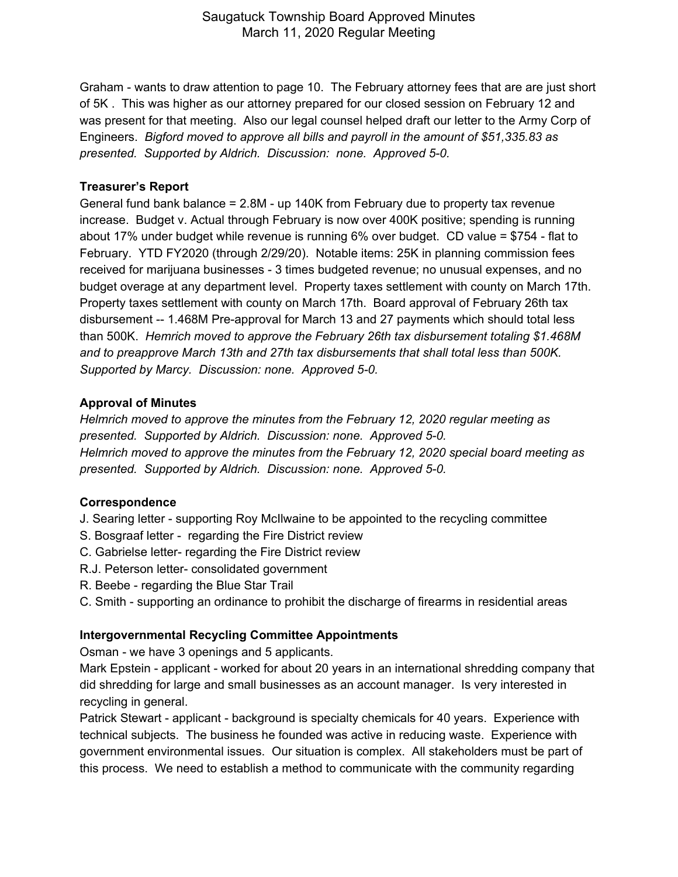Graham - wants to draw attention to page 10. The February attorney fees that are are just short of 5K . This was higher as our attorney prepared for our closed session on February 12 and was present for that meeting. Also our legal counsel helped draft our letter to the Army Corp of Engineers. *Bigford moved to approve all bills and payroll in the amount of \$51,335.83 as presented. Supported by Aldrich. Discussion: none. Approved 5-0.*

### **Treasurer's Report**

General fund bank balance = 2.8M - up 140K from February due to property tax revenue increase. Budget v. Actual through February is now over 400K positive; spending is running about 17% under budget while revenue is running 6% over budget. CD value = \$754 - flat to February. YTD FY2020 (through 2/29/20). Notable items: 25K in planning commission fees received for marijuana businesses - 3 times budgeted revenue; no unusual expenses, and no budget overage at any department level. Property taxes settlement with county on March 17th. Property taxes settlement with county on March 17th. Board approval of February 26th tax disbursement -- 1.468M Pre-approval for March 13 and 27 payments which should total less than 500K. *Hemrich moved to approve the February 26th tax disbursement totaling \$1.468M and to preapprove March 13th and 27th tax disbursements that shall total less than 500K. Supported by Marcy. Discussion: none. Approved 5-0.*

### **Approval of Minutes**

*Helmrich moved to approve the minutes from the February 12, 2020 regular meeting as presented. Supported by Aldrich. Discussion: none. Approved 5-0. Helmrich moved to approve the minutes from the February 12, 2020 special board meeting as presented. Supported by Aldrich. Discussion: none. Approved 5-0.*

### **Correspondence**

- J. Searing letter supporting Roy McIlwaine to be appointed to the recycling committee
- S. Bosgraaf letter regarding the Fire District review
- C. Gabrielse letter- regarding the Fire District review
- R.J. Peterson letter- consolidated government
- R. Beebe regarding the Blue Star Trail
- C. Smith supporting an ordinance to prohibit the discharge of firearms in residential areas

# **Intergovernmental Recycling Committee Appointments**

Osman - we have 3 openings and 5 applicants.

Mark Epstein - applicant - worked for about 20 years in an international shredding company that did shredding for large and small businesses as an account manager. Is very interested in recycling in general.

Patrick Stewart - applicant - background is specialty chemicals for 40 years. Experience with technical subjects. The business he founded was active in reducing waste. Experience with government environmental issues. Our situation is complex. All stakeholders must be part of this process. We need to establish a method to communicate with the community regarding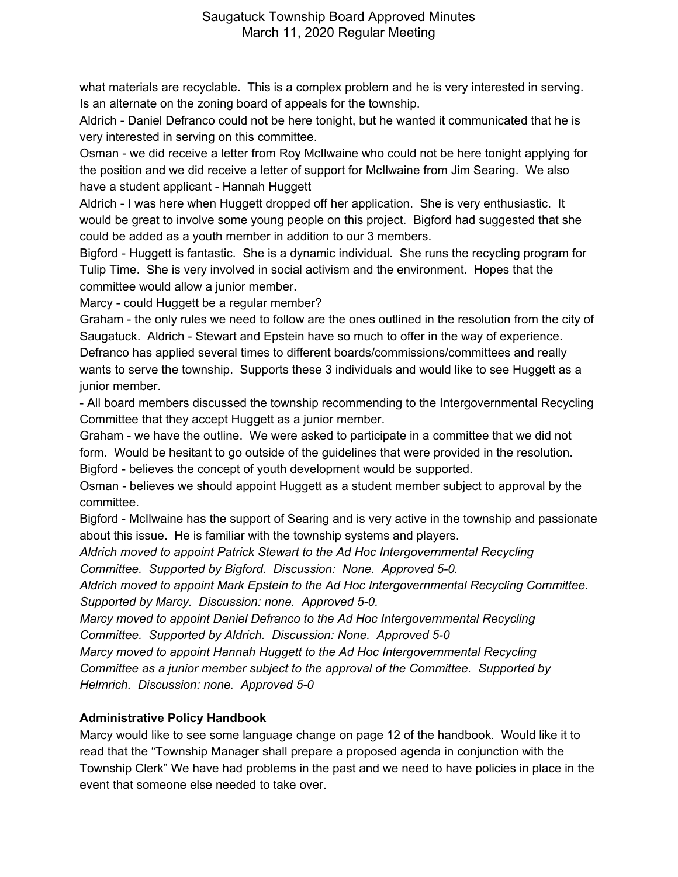what materials are recyclable. This is a complex problem and he is very interested in serving. Is an alternate on the zoning board of appeals for the township.

Aldrich - Daniel Defranco could not be here tonight, but he wanted it communicated that he is very interested in serving on this committee.

Osman - we did receive a letter from Roy McIlwaine who could not be here tonight applying for the position and we did receive a letter of support for McIlwaine from Jim Searing. We also have a student applicant - Hannah Huggett

Aldrich - I was here when Huggett dropped off her application. She is very enthusiastic. It would be great to involve some young people on this project. Bigford had suggested that she could be added as a youth member in addition to our 3 members.

Bigford - Huggett is fantastic. She is a dynamic individual. She runs the recycling program for Tulip Time. She is very involved in social activism and the environment. Hopes that the committee would allow a junior member.

Marcy - could Huggett be a regular member?

Graham - the only rules we need to follow are the ones outlined in the resolution from the city of Saugatuck. Aldrich - Stewart and Epstein have so much to offer in the way of experience. Defranco has applied several times to different boards/commissions/committees and really wants to serve the township. Supports these 3 individuals and would like to see Huggett as a junior member.

- All board members discussed the township recommending to the Intergovernmental Recycling Committee that they accept Huggett as a junior member.

Graham - we have the outline. We were asked to participate in a committee that we did not form. Would be hesitant to go outside of the guidelines that were provided in the resolution. Bigford - believes the concept of youth development would be supported.

Osman - believes we should appoint Huggett as a student member subject to approval by the committee.

Bigford - McIlwaine has the support of Searing and is very active in the township and passionate about this issue. He is familiar with the township systems and players.

*Aldrich moved to appoint Patrick Stewart to the Ad Hoc Intergovernmental Recycling Committee. Supported by Bigford. Discussion: None. Approved 5-0.*

*Aldrich moved to appoint Mark Epstein to the Ad Hoc Intergovernmental Recycling Committee. Supported by Marcy. Discussion: none. Approved 5-0.*

*Marcy moved to appoint Daniel Defranco to the Ad Hoc Intergovernmental Recycling Committee. Supported by Aldrich. Discussion: None. Approved 5-0*

*Marcy moved to appoint Hannah Huggett to the Ad Hoc Intergovernmental Recycling Committee as a junior member subject to the approval of the Committee. Supported by Helmrich. Discussion: none. Approved 5-0*

# **Administrative Policy Handbook**

Marcy would like to see some language change on page 12 of the handbook. Would like it to read that the "Township Manager shall prepare a proposed agenda in conjunction with the Township Clerk" We have had problems in the past and we need to have policies in place in the event that someone else needed to take over.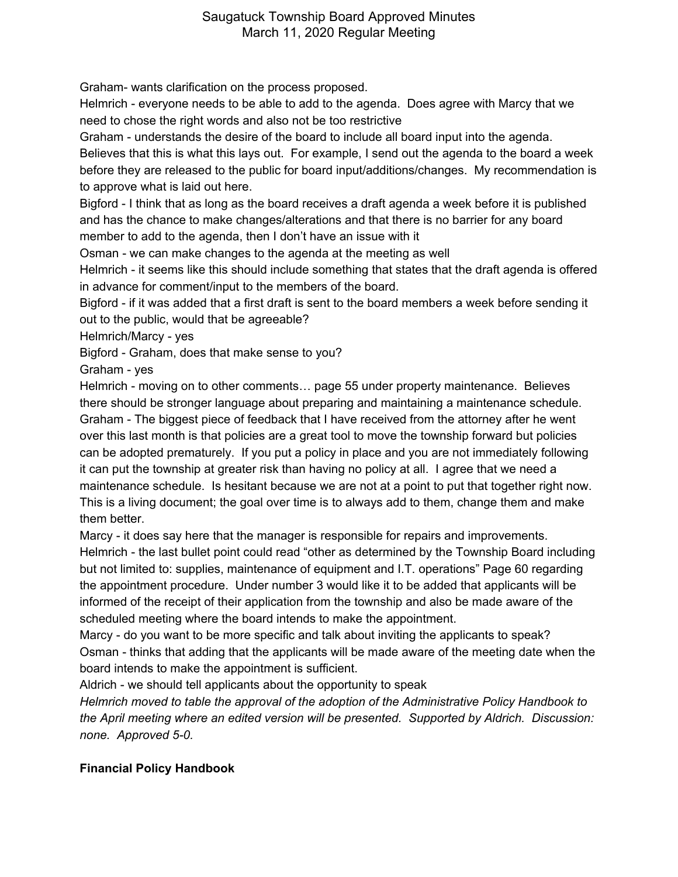Graham- wants clarification on the process proposed.

Helmrich - everyone needs to be able to add to the agenda. Does agree with Marcy that we need to chose the right words and also not be too restrictive

Graham - understands the desire of the board to include all board input into the agenda.

Believes that this is what this lays out. For example, I send out the agenda to the board a week before they are released to the public for board input/additions/changes. My recommendation is to approve what is laid out here.

Bigford - I think that as long as the board receives a draft agenda a week before it is published and has the chance to make changes/alterations and that there is no barrier for any board member to add to the agenda, then I don't have an issue with it

Osman - we can make changes to the agenda at the meeting as well

Helmrich - it seems like this should include something that states that the draft agenda is offered in advance for comment/input to the members of the board.

Bigford - if it was added that a first draft is sent to the board members a week before sending it out to the public, would that be agreeable?

Helmrich/Marcy - yes

Bigford - Graham, does that make sense to you?

Graham - yes

Helmrich - moving on to other comments… page 55 under property maintenance. Believes there should be stronger language about preparing and maintaining a maintenance schedule. Graham - The biggest piece of feedback that I have received from the attorney after he went over this last month is that policies are a great tool to move the township forward but policies can be adopted prematurely. If you put a policy in place and you are not immediately following it can put the township at greater risk than having no policy at all. I agree that we need a maintenance schedule. Is hesitant because we are not at a point to put that together right now. This is a living document; the goal over time is to always add to them, change them and make them better.

Marcy - it does say here that the manager is responsible for repairs and improvements.

Helmrich - the last bullet point could read "other as determined by the Township Board including but not limited to: supplies, maintenance of equipment and I.T. operations" Page 60 regarding the appointment procedure. Under number 3 would like it to be added that applicants will be informed of the receipt of their application from the township and also be made aware of the scheduled meeting where the board intends to make the appointment.

Marcy - do you want to be more specific and talk about inviting the applicants to speak? Osman - thinks that adding that the applicants will be made aware of the meeting date when the board intends to make the appointment is sufficient.

Aldrich - we should tell applicants about the opportunity to speak

*Helmrich moved to table the approval of the adoption of the Administrative Policy Handbook to the April meeting where an edited version will be presented. Supported by Aldrich. Discussion: none. Approved 5-0.*

# **Financial Policy Handbook**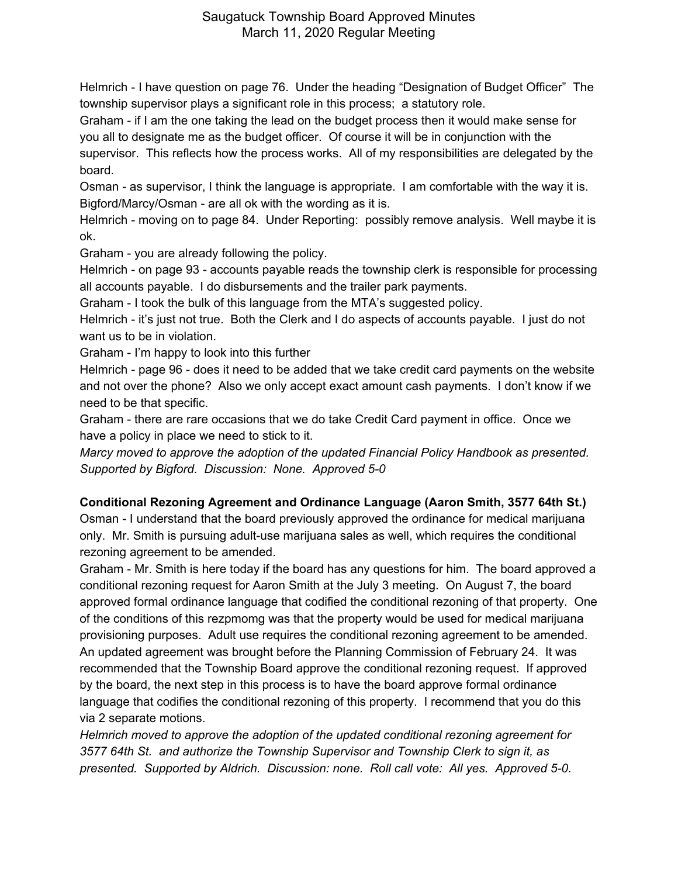Helmrich - I have question on page 76. Under the heading "Designation of Budget Officer" The township supervisor plays a significant role in this process; a statutory role.

Graham - if I am the one taking the lead on the budget process then it would make sense for you all to designate me as the budget officer. Of course it will be in conjunction with the supervisor. This reflects how the process works. All of my responsibilities are delegated by the board.

Osman - as supervisor, I think the language is appropriate. I am comfortable with the way it is. Bigford/Marcy/Osman - are all ok with the wording as it is.

Helmrich - moving on to page 84. Under Reporting: possibly remove analysis. Well maybe it is ok.

Graham - you are already following the policy.

Helmrich - on page 93 - accounts payable reads the township clerk is responsible for processing all accounts payable. I do disbursements and the trailer park payments.

Graham - I took the bulk of this language from the MTA's suggested policy.

Helmrich - it's just not true. Both the Clerk and I do aspects of accounts payable. I just do not want us to be in violation.

Graham - I'm happy to look into this further

Helmrich - page 96 - does it need to be added that we take credit card payments on the website and not over the phone? Also we only accept exact amount cash payments. I don't know if we need to be that specific.

Graham - there are rare occasions that we do take Credit Card payment in office. Once we have a policy in place we need to stick to it.

*Marcy moved to approve the adoption of the updated Financial Policy Handbook as presented. Supported by Bigford. Discussion: None. Approved 5-0*

# **Conditional Rezoning Agreement and Ordinance Language (Aaron Smith, 3577 64th St.)**

Osman - I understand that the board previously approved the ordinance for medical marijuana only. Mr. Smith is pursuing adult-use marijuana sales as well, which requires the conditional rezoning agreement to be amended.

Graham - Mr. Smith is here today if the board has any questions for him. The board approved a conditional rezoning request for Aaron Smith at the July 3 meeting. On August 7, the board approved formal ordinance language that codified the conditional rezoning of that property. One of the conditions of this rezpmomg was that the property would be used for medical marijuana provisioning purposes. Adult use requires the conditional rezoning agreement to be amended. An updated agreement was brought before the Planning Commission of February 24. It was recommended that the Township Board approve the conditional rezoning request. If approved by the board, the next step in this process is to have the board approve formal ordinance language that codifies the conditional rezoning of this property. I recommend that you do this via 2 separate motions.

*Helmrich moved to approve the adoption of the updated conditional rezoning agreement for 3577 64th St. and authorize the Township Supervisor and Township Clerk to sign it, as presented. Supported by Aldrich. Discussion: none. Roll call vote: All yes. Approved 5-0.*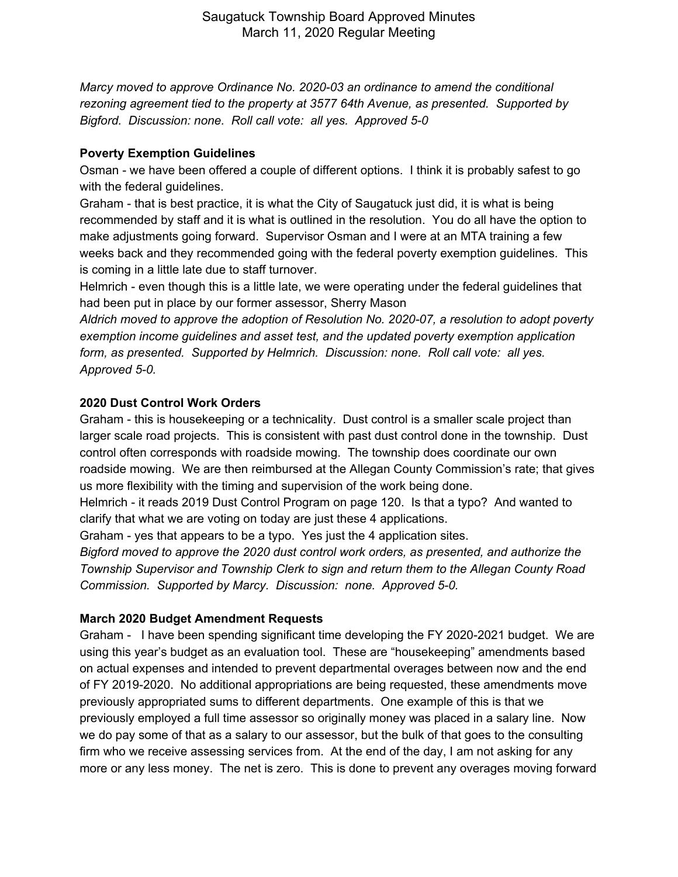*Marcy moved to approve Ordinance No. 2020-03 an ordinance to amend the conditional rezoning agreement tied to the property at 3577 64th Avenue, as presented. Supported by Bigford. Discussion: none. Roll call vote: all yes. Approved 5-0*

## **Poverty Exemption Guidelines**

Osman - we have been offered a couple of different options. I think it is probably safest to go with the federal guidelines.

Graham - that is best practice, it is what the City of Saugatuck just did, it is what is being recommended by staff and it is what is outlined in the resolution. You do all have the option to make adjustments going forward. Supervisor Osman and I were at an MTA training a few weeks back and they recommended going with the federal poverty exemption guidelines. This is coming in a little late due to staff turnover.

Helmrich - even though this is a little late, we were operating under the federal guidelines that had been put in place by our former assessor, Sherry Mason

*Aldrich moved to approve the adoption of Resolution No. 2020-07, a resolution to adopt poverty exemption income guidelines and asset test, and the updated poverty exemption application form, as presented. Supported by Helmrich. Discussion: none. Roll call vote: all yes. Approved 5-0.*

## **2020 Dust Control Work Orders**

Graham - this is housekeeping or a technicality. Dust control is a smaller scale project than larger scale road projects. This is consistent with past dust control done in the township. Dust control often corresponds with roadside mowing. The township does coordinate our own roadside mowing. We are then reimbursed at the Allegan County Commission's rate; that gives us more flexibility with the timing and supervision of the work being done.

Helmrich - it reads 2019 Dust Control Program on page 120. Is that a typo? And wanted to clarify that what we are voting on today are just these 4 applications.

Graham - yes that appears to be a typo. Yes just the 4 application sites.

*Bigford moved to approve the 2020 dust control work orders, as presented, and authorize the Township Supervisor and Township Clerk to sign and return them to the Allegan County Road Commission. Supported by Marcy. Discussion: none. Approved 5-0.*

# **March 2020 Budget Amendment Requests**

Graham - I have been spending significant time developing the FY 2020-2021 budget. We are using this year's budget as an evaluation tool. These are "housekeeping" amendments based on actual expenses and intended to prevent departmental overages between now and the end of FY 2019-2020. No additional appropriations are being requested, these amendments move previously appropriated sums to different departments. One example of this is that we previously employed a full time assessor so originally money was placed in a salary line. Now we do pay some of that as a salary to our assessor, but the bulk of that goes to the consulting firm who we receive assessing services from. At the end of the day, I am not asking for any more or any less money. The net is zero. This is done to prevent any overages moving forward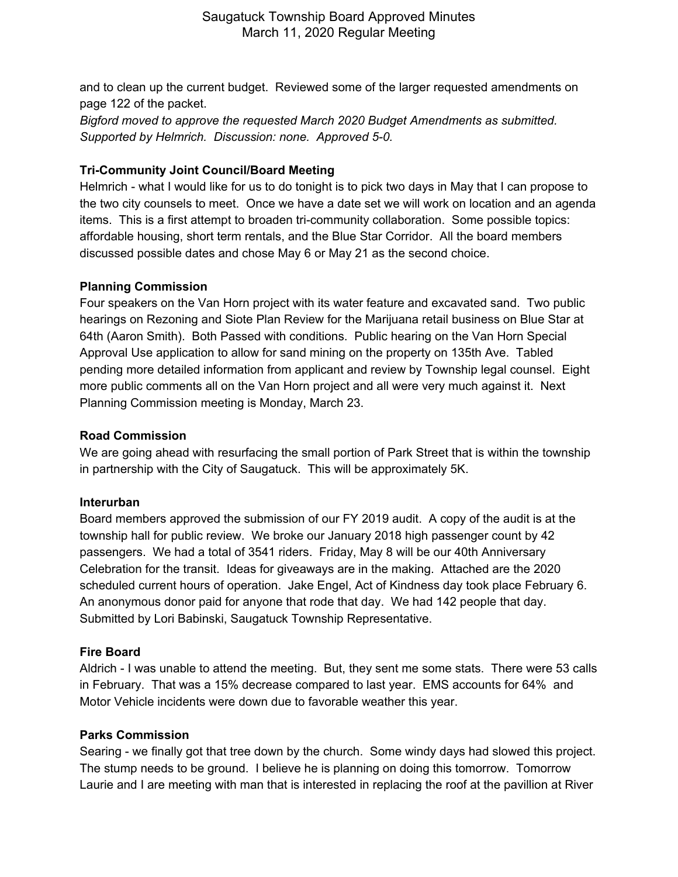and to clean up the current budget. Reviewed some of the larger requested amendments on page 122 of the packet.

*Bigford moved to approve the requested March 2020 Budget Amendments as submitted. Supported by Helmrich. Discussion: none. Approved 5-0.*

## **Tri-Community Joint Council/Board Meeting**

Helmrich - what I would like for us to do tonight is to pick two days in May that I can propose to the two city counsels to meet. Once we have a date set we will work on location and an agenda items. This is a first attempt to broaden tri-community collaboration. Some possible topics: affordable housing, short term rentals, and the Blue Star Corridor. All the board members discussed possible dates and chose May 6 or May 21 as the second choice.

### **Planning Commission**

Four speakers on the Van Horn project with its water feature and excavated sand. Two public hearings on Rezoning and Siote Plan Review for the Marijuana retail business on Blue Star at 64th (Aaron Smith). Both Passed with conditions. Public hearing on the Van Horn Special Approval Use application to allow for sand mining on the property on 135th Ave. Tabled pending more detailed information from applicant and review by Township legal counsel. Eight more public comments all on the Van Horn project and all were very much against it. Next Planning Commission meeting is Monday, March 23.

#### **Road Commission**

We are going ahead with resurfacing the small portion of Park Street that is within the township in partnership with the City of Saugatuck. This will be approximately 5K.

#### **Interurban**

Board members approved the submission of our FY 2019 audit. A copy of the audit is at the township hall for public review. We broke our January 2018 high passenger count by 42 passengers. We had a total of 3541 riders. Friday, May 8 will be our 40th Anniversary Celebration for the transit. Ideas for giveaways are in the making. Attached are the 2020 scheduled current hours of operation. Jake Engel, Act of Kindness day took place February 6. An anonymous donor paid for anyone that rode that day. We had 142 people that day. Submitted by Lori Babinski, Saugatuck Township Representative.

### **Fire Board**

Aldrich - I was unable to attend the meeting. But, they sent me some stats. There were 53 calls in February. That was a 15% decrease compared to last year. EMS accounts for 64% and Motor Vehicle incidents were down due to favorable weather this year.

#### **Parks Commission**

Searing - we finally got that tree down by the church. Some windy days had slowed this project. The stump needs to be ground. I believe he is planning on doing this tomorrow. Tomorrow Laurie and I are meeting with man that is interested in replacing the roof at the pavillion at River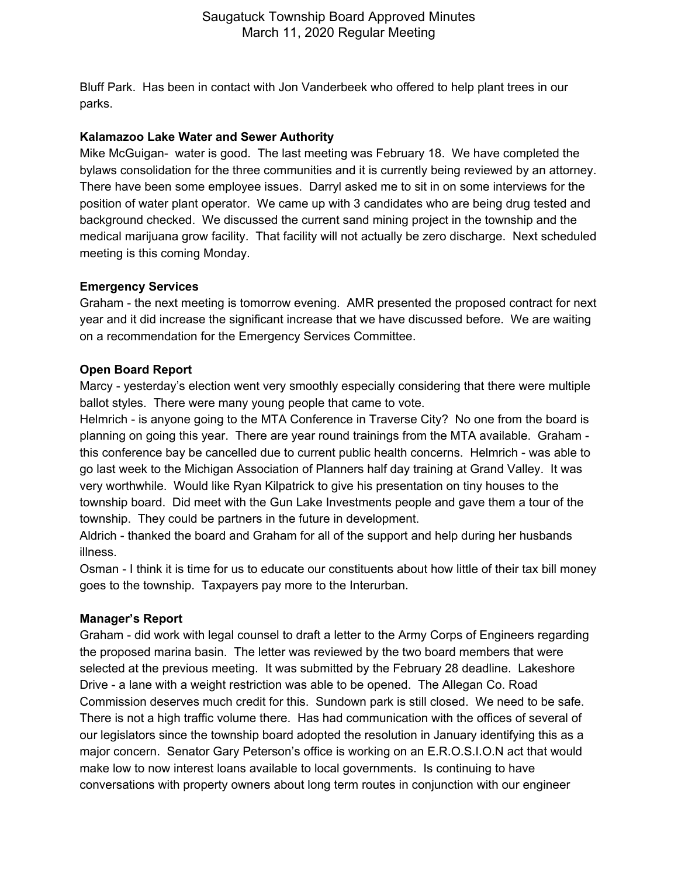Bluff Park. Has been in contact with Jon Vanderbeek who offered to help plant trees in our parks.

## **Kalamazoo Lake Water and Sewer Authority**

Mike McGuigan- water is good. The last meeting was February 18. We have completed the bylaws consolidation for the three communities and it is currently being reviewed by an attorney. There have been some employee issues. Darryl asked me to sit in on some interviews for the position of water plant operator. We came up with 3 candidates who are being drug tested and background checked. We discussed the current sand mining project in the township and the medical marijuana grow facility. That facility will not actually be zero discharge. Next scheduled meeting is this coming Monday.

### **Emergency Services**

Graham - the next meeting is tomorrow evening. AMR presented the proposed contract for next year and it did increase the significant increase that we have discussed before. We are waiting on a recommendation for the Emergency Services Committee.

## **Open Board Report**

Marcy - yesterday's election went very smoothly especially considering that there were multiple ballot styles. There were many young people that came to vote.

Helmrich - is anyone going to the MTA Conference in Traverse City? No one from the board is planning on going this year. There are year round trainings from the MTA available. Graham this conference bay be cancelled due to current public health concerns. Helmrich - was able to go last week to the Michigan Association of Planners half day training at Grand Valley. It was very worthwhile. Would like Ryan Kilpatrick to give his presentation on tiny houses to the township board. Did meet with the Gun Lake Investments people and gave them a tour of the township. They could be partners in the future in development.

Aldrich - thanked the board and Graham for all of the support and help during her husbands illness.

Osman - I think it is time for us to educate our constituents about how little of their tax bill money goes to the township. Taxpayers pay more to the Interurban.

# **Manager's Report**

Graham - did work with legal counsel to draft a letter to the Army Corps of Engineers regarding the proposed marina basin. The letter was reviewed by the two board members that were selected at the previous meeting. It was submitted by the February 28 deadline. Lakeshore Drive - a lane with a weight restriction was able to be opened. The Allegan Co. Road Commission deserves much credit for this. Sundown park is still closed. We need to be safe. There is not a high traffic volume there. Has had communication with the offices of several of our legislators since the township board adopted the resolution in January identifying this as a major concern. Senator Gary Peterson's office is working on an E.R.O.S.I.O.N act that would make low to now interest loans available to local governments. Is continuing to have conversations with property owners about long term routes in conjunction with our engineer